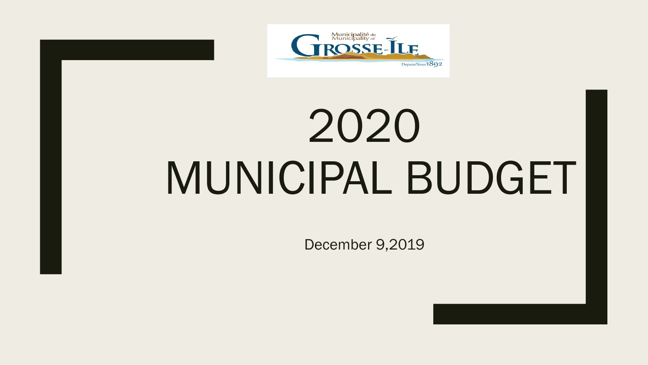

# 2020 MUNICIPAL BUDGET

December 9,2019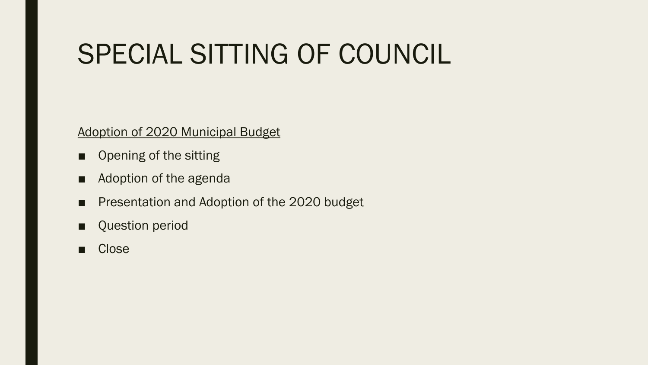## SPECIAL SITTING OF COUNCIL

Adoption of 2020 Municipal Budget

- Opening of the sitting
- Adoption of the agenda
- Presentation and Adoption of the 2020 budget
- Question period
- Close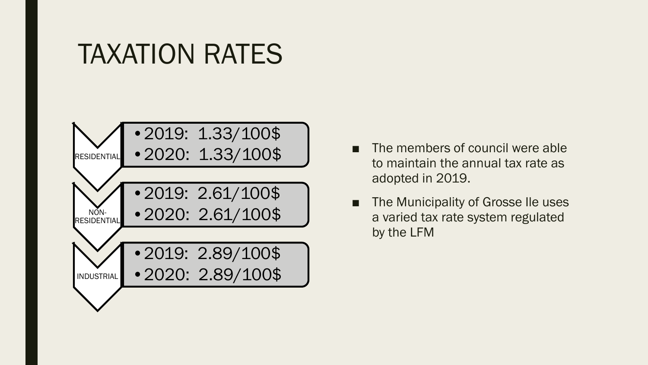### TAXATION RATES



- The members of council were able to maintain the annual tax rate as adopted in 2019.
- The Municipality of Grosse Ile uses a varied tax rate system regulated by the LFM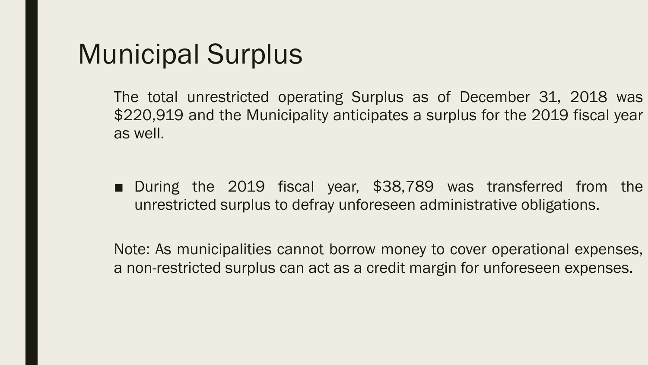## Municipal Surplus

The total unrestricted operating Surplus as of December 31, 2018 was \$220,919 and the Municipality anticipates a surplus for the 2019 fiscal year as well.

■ During the 2019 fiscal year, \$38,789 was transferred from the unrestricted surplus to defray unforeseen administrative obligations.

Note: As municipalities cannot borrow money to cover operational expenses, a non-restricted surplus can act as a credit margin for unforeseen expenses.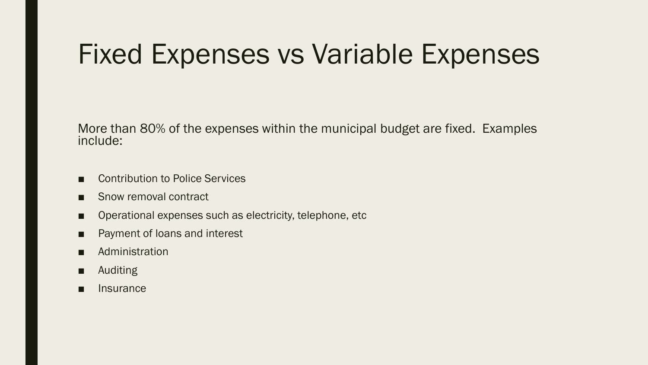## Fixed Expenses vs Variable Expenses

More than 80% of the expenses within the municipal budget are fixed. Examples include:

- Contribution to Police Services
- Snow removal contract
- Operational expenses such as electricity, telephone, etc
- Payment of loans and interest
- Administration
- Auditing
- Insurance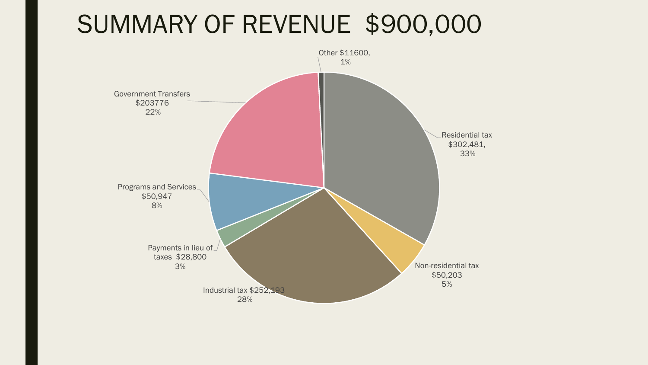#### SUMMARY OF REVENUE \$900,000